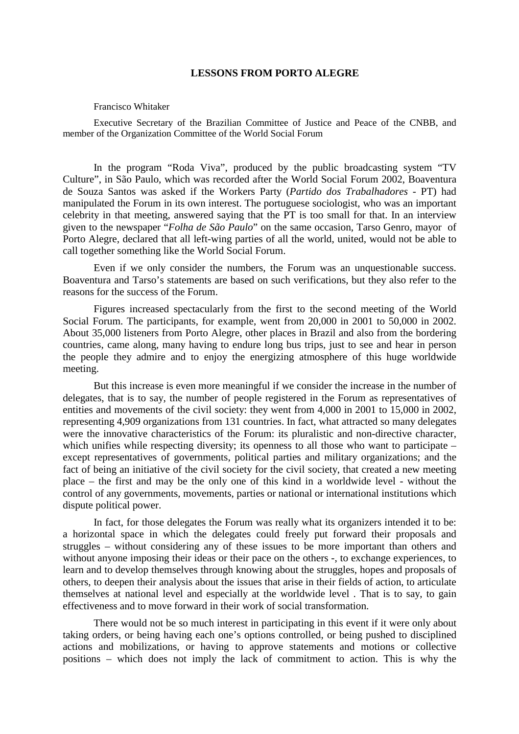## **LESSONS FROM PORTO ALEGRE**

## Francisco Whitaker

Executive Secretary of the Brazilian Committee of Justice and Peace of the CNBB, and member of the Organization Committee of the World Social Forum

In the program "Roda Viva", produced by the public broadcasting system "TV Culture", in São Paulo, which was recorded after the World Social Forum 2002, Boaventura de Souza Santos was asked if the Workers Party (*Partido dos Trabalhadores* - PT) had manipulated the Forum in its own interest. The portuguese sociologist, who was an important celebrity in that meeting, answered saying that the PT is too small for that. In an interview given to the newspaper "*Folha de São Paulo*" on the same occasion, Tarso Genro, mayor of Porto Alegre, declared that all left-wing parties of all the world, united, would not be able to call together something like the World Social Forum.

Even if we only consider the numbers, the Forum was an unquestionable success. Boaventura and Tarso's statements are based on such verifications, but they also refer to the reasons for the success of the Forum.

Figures increased spectacularly from the first to the second meeting of the World Social Forum. The participants, for example, went from 20,000 in 2001 to 50,000 in 2002. About 35,000 listeners from Porto Alegre, other places in Brazil and also from the bordering countries, came along, many having to endure long bus trips, just to see and hear in person the people they admire and to enjoy the energizing atmosphere of this huge worldwide meeting.

But this increase is even more meaningful if we consider the increase in the number of delegates, that is to say, the number of people registered in the Forum as representatives of entities and movements of the civil society: they went from 4,000 in 2001 to 15,000 in 2002, representing 4,909 organizations from 131 countries. In fact, what attracted so many delegates were the innovative characteristics of the Forum: its pluralistic and non-directive character, which unifies while respecting diversity; its openness to all those who want to participate – except representatives of governments, political parties and military organizations; and the fact of being an initiative of the civil society for the civil society, that created a new meeting place – the first and may be the only one of this kind in a worldwide level - without the control of any governments, movements, parties or national or international institutions which dispute political power.

In fact, for those delegates the Forum was really what its organizers intended it to be: a horizontal space in which the delegates could freely put forward their proposals and struggles – without considering any of these issues to be more important than others and without anyone imposing their ideas or their pace on the others -, to exchange experiences, to learn and to develop themselves through knowing about the struggles, hopes and proposals of others, to deepen their analysis about the issues that arise in their fields of action, to articulate themselves at national level and especially at the worldwide level . That is to say, to gain effectiveness and to move forward in their work of social transformation.

There would not be so much interest in participating in this event if it were only about taking orders, or being having each one's options controlled, or being pushed to disciplined actions and mobilizations, or having to approve statements and motions or collective positions – which does not imply the lack of commitment to action. This is why the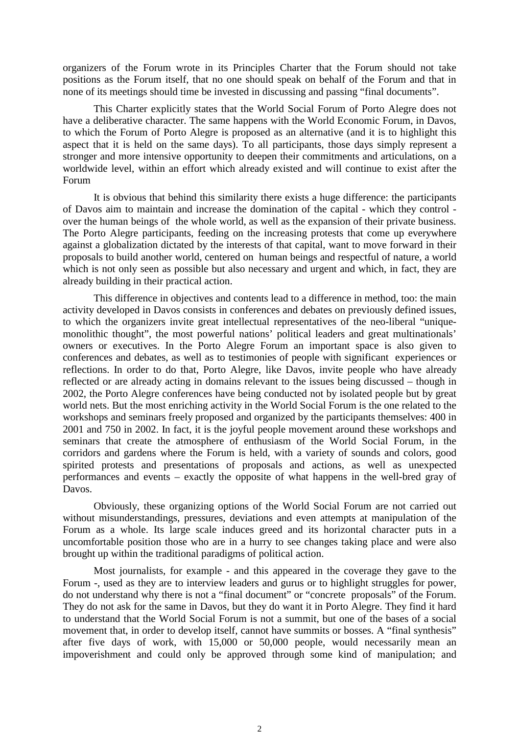organizers of the Forum wrote in its Principles Charter that the Forum should not take positions as the Forum itself, that no one should speak on behalf of the Forum and that in none of its meetings should time be invested in discussing and passing "final documents".

This Charter explicitly states that the World Social Forum of Porto Alegre does not have a deliberative character. The same happens with the World Economic Forum, in Davos, to which the Forum of Porto Alegre is proposed as an alternative (and it is to highlight this aspect that it is held on the same days). To all participants, those days simply represent a stronger and more intensive opportunity to deepen their commitments and articulations, on a worldwide level, within an effort which already existed and will continue to exist after the Forum

It is obvious that behind this similarity there exists a huge difference: the participants of Davos aim to maintain and increase the domination of the capital - which they control over the human beings of the whole world, as well as the expansion of their private business. The Porto Alegre participants, feeding on the increasing protests that come up everywhere against a globalization dictated by the interests of that capital, want to move forward in their proposals to build another world, centered on human beings and respectful of nature, a world which is not only seen as possible but also necessary and urgent and which, in fact, they are already building in their practical action.

This difference in objectives and contents lead to a difference in method, too: the main activity developed in Davos consists in conferences and debates on previously defined issues, to which the organizers invite great intellectual representatives of the neo-liberal "uniquemonolithic thought", the most powerful nations' political leaders and great multinationals' owners or executives. In the Porto Alegre Forum an important space is also given to conferences and debates, as well as to testimonies of people with significant experiences or reflections. In order to do that, Porto Alegre, like Davos, invite people who have already reflected or are already acting in domains relevant to the issues being discussed – though in 2002, the Porto Alegre conferences have being conducted not by isolated people but by great world nets. But the most enriching activity in the World Social Forum is the one related to the workshops and seminars freely proposed and organized by the participants themselves: 400 in 2001 and 750 in 2002. In fact, it is the joyful people movement around these workshops and seminars that create the atmosphere of enthusiasm of the World Social Forum, in the corridors and gardens where the Forum is held, with a variety of sounds and colors, good spirited protests and presentations of proposals and actions, as well as unexpected performances and events – exactly the opposite of what happens in the well-bred gray of Davos.

Obviously, these organizing options of the World Social Forum are not carried out without misunderstandings, pressures, deviations and even attempts at manipulation of the Forum as a whole. Its large scale induces greed and its horizontal character puts in a uncomfortable position those who are in a hurry to see changes taking place and were also brought up within the traditional paradigms of political action.

Most journalists, for example - and this appeared in the coverage they gave to the Forum -, used as they are to interview leaders and gurus or to highlight struggles for power, do not understand why there is not a "final document" or "concrete proposals" of the Forum. They do not ask for the same in Davos, but they do want it in Porto Alegre. They find it hard to understand that the World Social Forum is not a summit, but one of the bases of a social movement that, in order to develop itself, cannot have summits or bosses. A "final synthesis" after five days of work, with 15,000 or 50,000 people, would necessarily mean an impoverishment and could only be approved through some kind of manipulation; and